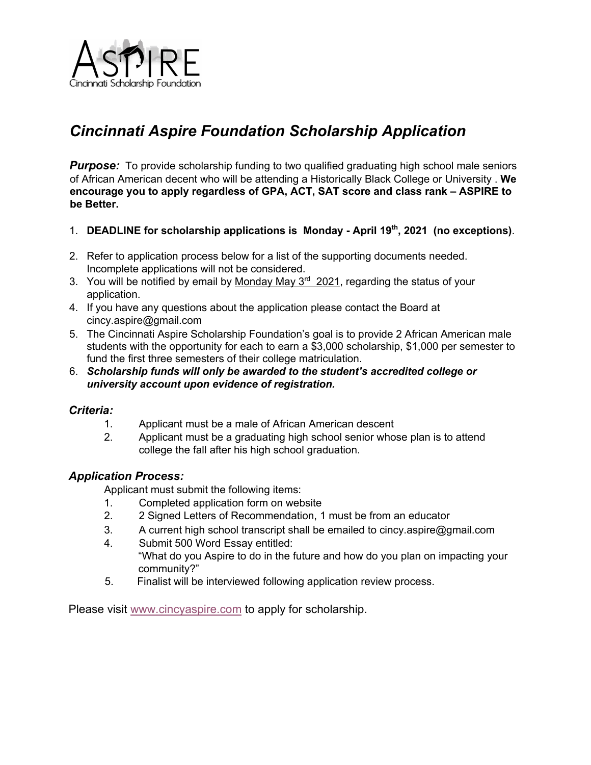

## *Cincinnati Aspire Foundation Scholarship Application*

**Purpose:** To provide scholarship funding to two qualified graduating high school male seniors of African American decent who will be attending a Historically Black College or University . **We encourage you to apply regardless of GPA, ACT, SAT score and class rank – ASPIRE to be Better.**

- 1. **DEADLINE for scholarship applications is Monday - April 19th, 2021 (no exceptions)**.
- 2. Refer to application process below for a list of the supporting documents needed. Incomplete applications will not be considered.
- 3. You will be notified by email by Monday May  $3<sup>rd</sup> 2021$ , regarding the status of your application.
- 4. If you have any questions about the application please contact the Board at cincy.aspire@gmail.com
- 5. The Cincinnati Aspire Scholarship Foundation's goal is to provide 2 African American male students with the opportunity for each to earn a \$3,000 scholarship, \$1,000 per semester to fund the first three semesters of their college matriculation.
- 6. *Scholarship funds will only be awarded to the student's accredited college or university account upon evidence of registration.*

## *Criteria:*

- 1. Applicant must be a male of African American descent
- 2. Applicant must be a graduating high school senior whose plan is to attend college the fall after his high school graduation.

## *Application Process:*

Applicant must submit the following items:

- 1. Completed application form on website
- 2. 2 Signed Letters of Recommendation, 1 must be from an educator
- 3. A current high school transcript shall be emailed to cincy.aspire@gmail.com
- 4. Submit 500 Word Essay entitled: "What do you Aspire to do in the future and how do you plan on impacting your community?"
- 5. Finalist will be interviewed following application review process.

Please visit www.cincyaspire.com to apply for scholarship.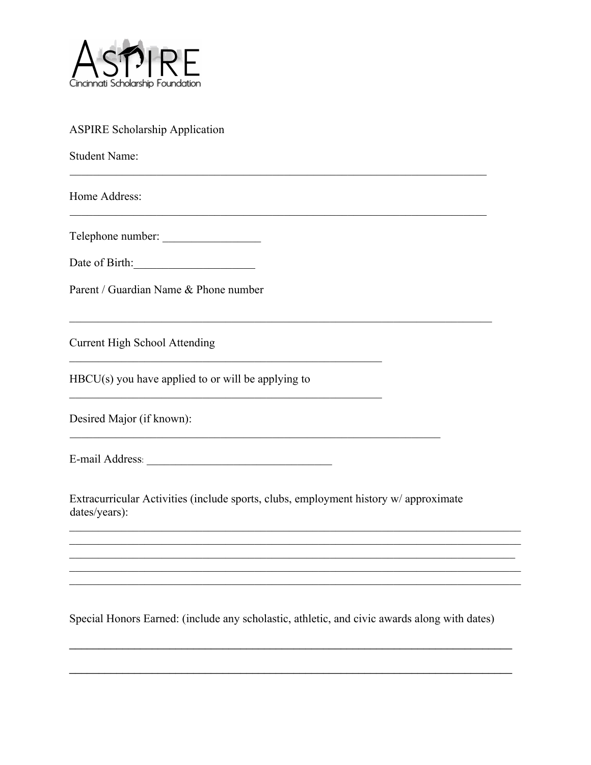

| <b>ASPIRE Scholarship Application</b>                                                                 |
|-------------------------------------------------------------------------------------------------------|
| <b>Student Name:</b>                                                                                  |
| Home Address:                                                                                         |
| Telephone number:                                                                                     |
| Date of Birth:<br><u> 1989 - Johann Barbara, martxa al</u>                                            |
| Parent / Guardian Name & Phone number                                                                 |
| <b>Current High School Attending</b>                                                                  |
| $HBCU(s)$ you have applied to or will be applying to                                                  |
| Desired Major (if known):                                                                             |
| E-mail Address:                                                                                       |
| Extracurricular Activities (include sports, clubs, employment history w/ approximate<br>dates/years): |
|                                                                                                       |
|                                                                                                       |
|                                                                                                       |

Special Honors Earned: (include any scholastic, athletic, and civic awards along with dates)